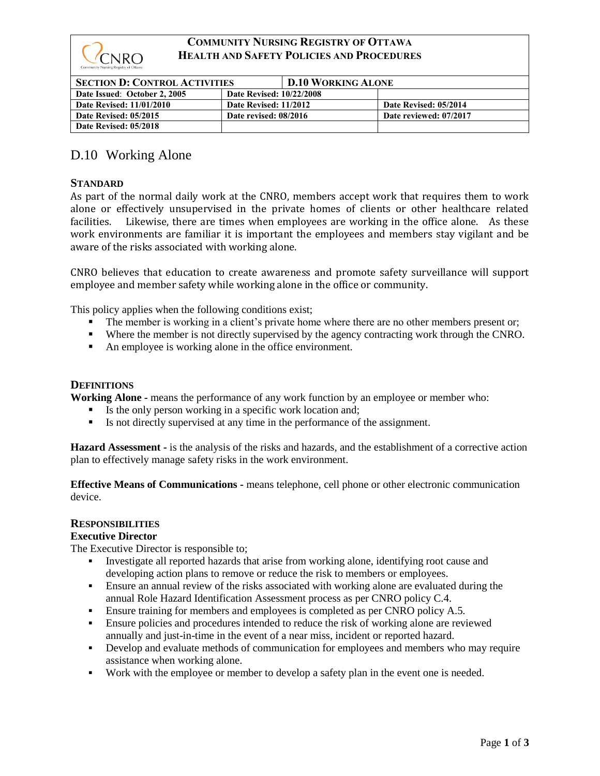

# **COMMUNITY NURSING REGISTRY OF OTTAWA HEALTH AND SAFETY POLICIES AND PROCEDURES**

| <b>SECTION D: CONTROL ACTIVITIES</b> |                                 | <b>D.10 WORKING ALONE</b> |                        |
|--------------------------------------|---------------------------------|---------------------------|------------------------|
| Date Issued: October 2, 2005         | <b>Date Revised: 10/22/2008</b> |                           |                        |
| <b>Date Revised: 11/01/2010</b>      | Date Revised: 11/2012           |                           | Date Revised: 05/2014  |
| Date Revised: 05/2015                | Date revised: 08/2016           |                           | Date reviewed: 07/2017 |
| Date Revised: 05/2018                |                                 |                           |                        |

# D.10 Working Alone

## **STANDARD**

As part of the normal daily work at the CNRO, members accept work that requires them to work alone or effectively unsupervised in the private homes of clients or other healthcare related facilities. Likewise, there are times when employees are working in the office alone. As these work environments are familiar it is important the employees and members stay vigilant and be aware of the risks associated with working alone.

CNRO believes that education to create awareness and promote safety surveillance will support employee and member safety while working alone in the office or community.

This policy applies when the following conditions exist;

- **•** The member is working in a client's private home where there are no other members present or;
- Where the member is not directly supervised by the agency contracting work through the CNRO.
- An employee is working alone in the office environment.

#### **DEFINITIONS**

**Working Alone -** means the performance of any work function by an employee or member who:

- Is the only person working in a specific work location and;
- Is not directly supervised at any time in the performance of the assignment.

**Hazard Assessment -** is the analysis of the risks and hazards, and the establishment of a corrective action plan to effectively manage safety risks in the work environment.

**Effective Means of Communications -** means telephone, cell phone or other electronic communication device.

## **RESPONSIBILITIES**

#### **Executive Director**

The Executive Director is responsible to;

- Investigate all reported hazards that arise from working alone, identifying root cause and developing action plans to remove or reduce the risk to members or employees.
- Ensure an annual review of the risks associated with working alone are evaluated during the annual Role Hazard Identification Assessment process as per CNRO policy C.4.
- Ensure training for members and employees is completed as per CNRO policy A.5.
- **•** Ensure policies and procedures intended to reduce the risk of working alone are reviewed annually and just-in-time in the event of a near miss, incident or reported hazard.
- **•** Develop and evaluate methods of communication for employees and members who may require assistance when working alone.
- Work with the employee or member to develop a safety plan in the event one is needed.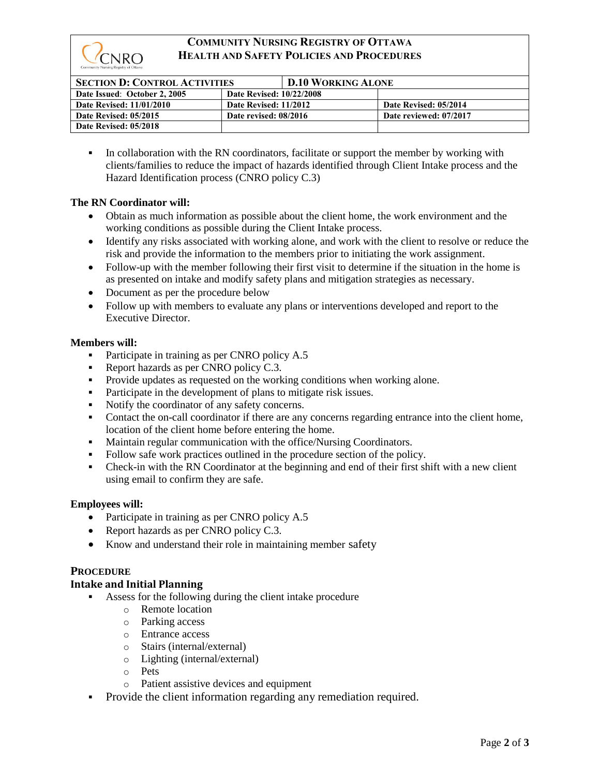

# **COMMUNITY NURSING REGISTRY OF OTTAWA HEALTH AND SAFETY POLICIES AND PROCEDURES**

| <b>SECTION D: CONTROL ACTIVITIES</b> |                                 | <b>D.10 WORKING ALONE</b> |                        |
|--------------------------------------|---------------------------------|---------------------------|------------------------|
| Date Issued: October 2, 2005         | <b>Date Revised: 10/22/2008</b> |                           |                        |
| <b>Date Revised: 11/01/2010</b>      | Date Revised: 11/2012           |                           | Date Revised: 05/2014  |
| <b>Date Revised: 05/2015</b>         | Date revised: 08/2016           |                           | Date reviewed: 07/2017 |
| Date Revised: 05/2018                |                                 |                           |                        |

**•** In collaboration with the RN coordinators, facilitate or support the member by working with clients/families to reduce the impact of hazards identified through Client Intake process and the Hazard Identification process (CNRO policy C.3)

## **The RN Coordinator will:**

- Obtain as much information as possible about the client home, the work environment and the working conditions as possible during the Client Intake process.
- Identify any risks associated with working alone, and work with the client to resolve or reduce the risk and provide the information to the members prior to initiating the work assignment.
- Follow-up with the member following their first visit to determine if the situation in the home is as presented on intake and modify safety plans and mitigation strategies as necessary.
- Document as per the procedure below
- Follow up with members to evaluate any plans or interventions developed and report to the Executive Director.

## **Members will:**

- Participate in training as per CNRO policy A.5
- Report hazards as per CNRO policy C.3.
- Provide updates as requested on the working conditions when working alone.
- Participate in the development of plans to mitigate risk issues.
- Notify the coordinator of any safety concerns.
- Contact the on-call coordinator if there are any concerns regarding entrance into the client home, location of the client home before entering the home.
- Maintain regular communication with the office/Nursing Coordinators.
- Follow safe work practices outlined in the procedure section of the policy.
- **•** Check-in with the RN Coordinator at the beginning and end of their first shift with a new client using email to confirm they are safe.

## **Employees will:**

- Participate in training as per CNRO policy A.5
- Report hazards as per CNRO policy C.3.
- Know and understand their role in maintaining member safety

## **PROCEDURE**

## **Intake and Initial Planning**

- Assess for the following during the client intake procedure
	- o Remote location
	- o Parking access
	- o Entrance access
	- o Stairs (internal/external)
	- o Lighting (internal/external)
	- o Pets
	- o Patient assistive devices and equipment
- Provide the client information regarding any remediation required.